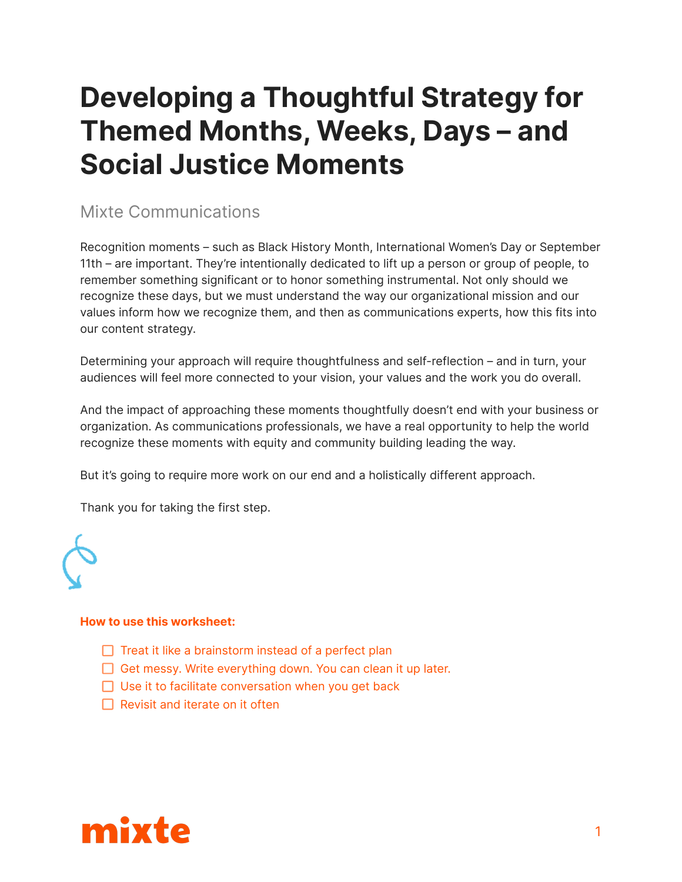## **Developing a Thoughtful Strategy for Themed Months, Weeks, Days – and Social Justice Moments**

### Mixte Communications

Recognition moments – such as Black History Month, International Women's Day or September 11th – are important. They're intentionally dedicated to lift up a person or group of people, to remember something significant or to honor something instrumental. Not only should we recognize these days, but we must understand the way our organizational mission and our values inform how we recognize them, and then as communications experts, how this fits into our content strategy.

Determining your approach will require thoughtfulness and self-reflection – and in turn, your audiences will feel more connected to your vision, your values and the work you do overall.

And the impact of approaching these moments thoughtfully doesn't end with your business or organization. As communications professionals, we have a real opportunity to help the world recognize these moments with equity and community building leading the way.

But it's going to require more work on our end and a holistically different approach.

Thank you for taking the first step.



#### **How to use this worksheet:**

- $\Box$  Treat it like a brainstorm instead of a perfect plan
- $\Box$  Get messy. Write everything down. You can clean it up later.
- $\Box$  Use it to facilitate conversation when you get back
- $\Box$  Revisit and iterate on it often

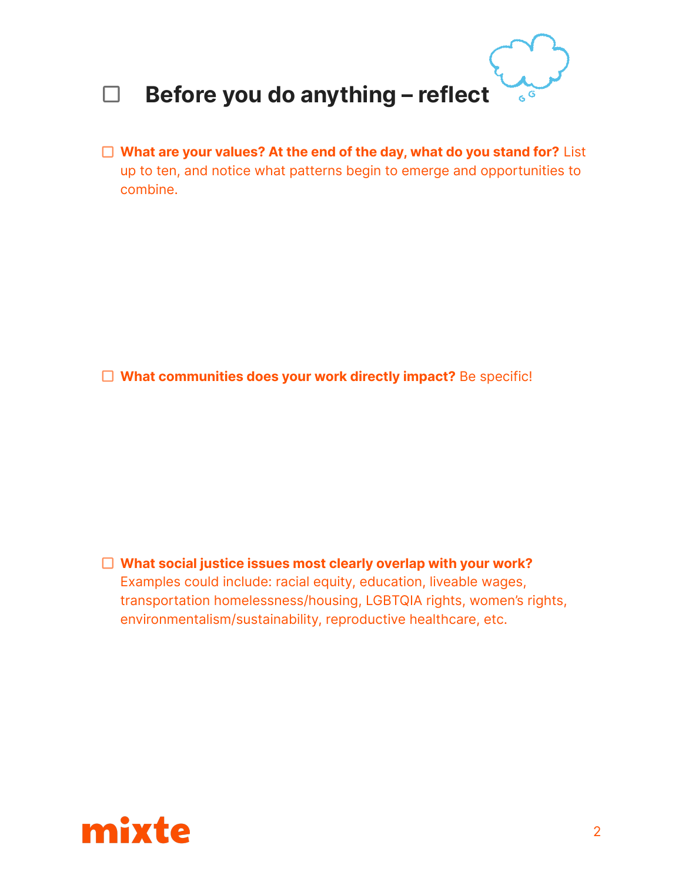

**What are your values? At the end of the day, what do you stand for?** List up to ten, and notice what patterns begin to emerge and opportunities to combine.

**What communities does your work directly impact?** Be specific!

**What social justice issues most clearly overlap with your work?** Examples could include: racial equity, education, liveable wages, transportation homelessness/housing, LGBTQIA rights, women's rights, environmentalism/sustainability, reproductive healthcare, etc.

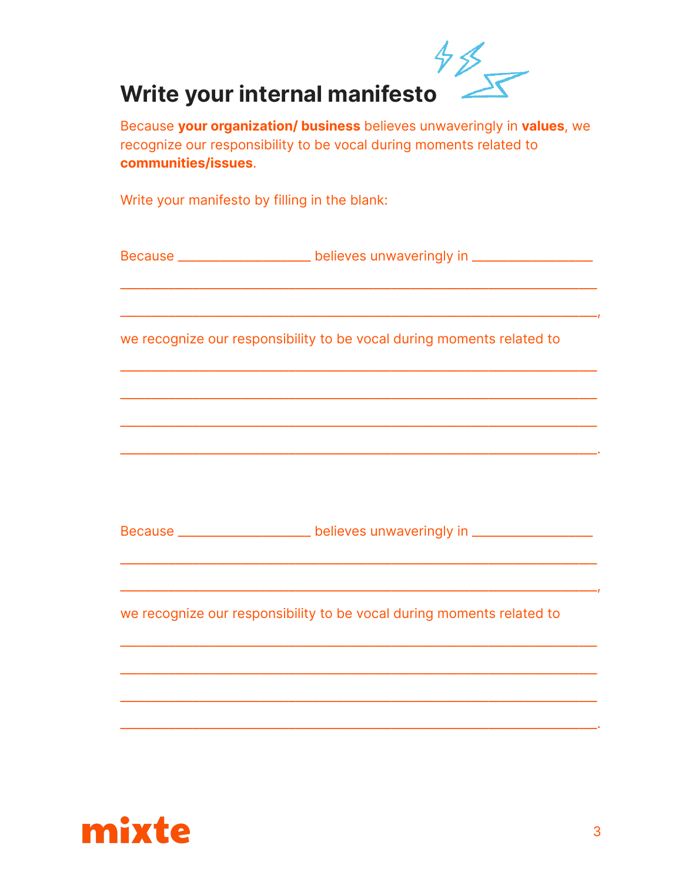

Because your organization/ business believes unwaveringly in values, we recognize our responsibility to be vocal during moments related to communities/issues.

Write your manifesto by filling in the blank:

Because \_\_\_\_\_\_\_\_\_\_\_\_\_\_\_\_\_\_\_\_\_\_ believes unwaveringly in \_\_\_\_\_\_\_\_\_\_\_\_\_\_\_\_\_\_

we recognize our responsibility to be vocal during moments related to

Because \_\_\_\_\_\_\_\_\_\_\_\_\_\_\_\_\_\_\_\_\_\_\_ believes unwaveringly in \_\_\_\_\_\_\_\_\_\_\_\_\_\_\_\_\_\_

we recognize our responsibility to be vocal during moments related to



— 1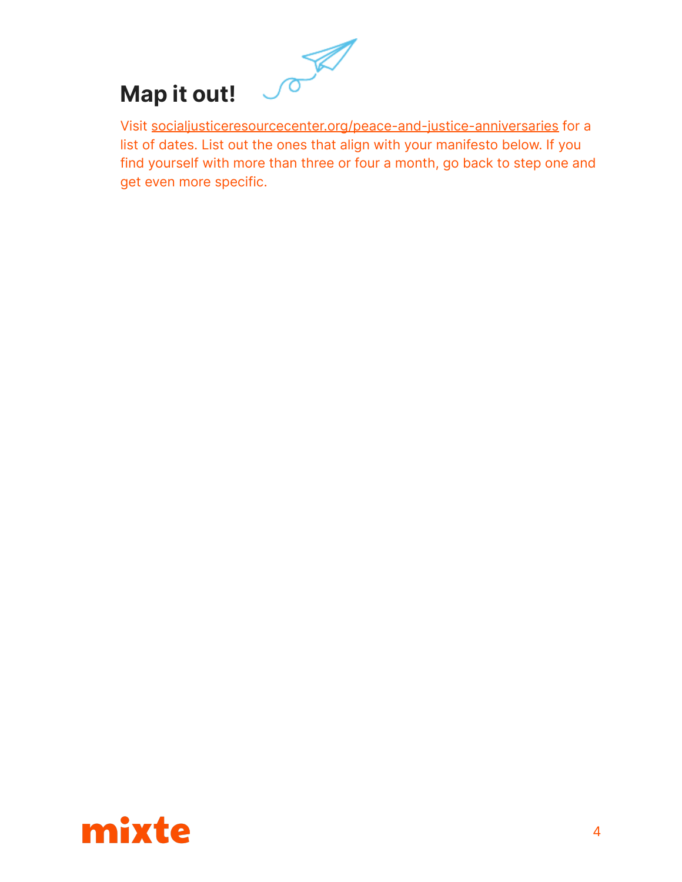# $\mathscr{P}$ **Map it out!**

Visit [socialjusticeresourcecenter.org/peace-and-justice-anniversaries](https://socialjusticeresourcecenter.org/peace-and-justice-anniversaries/) for a list of dates. List out the ones that align with your manifesto below. If you find yourself with more than three or four a month, go back to step one and get even more specific.

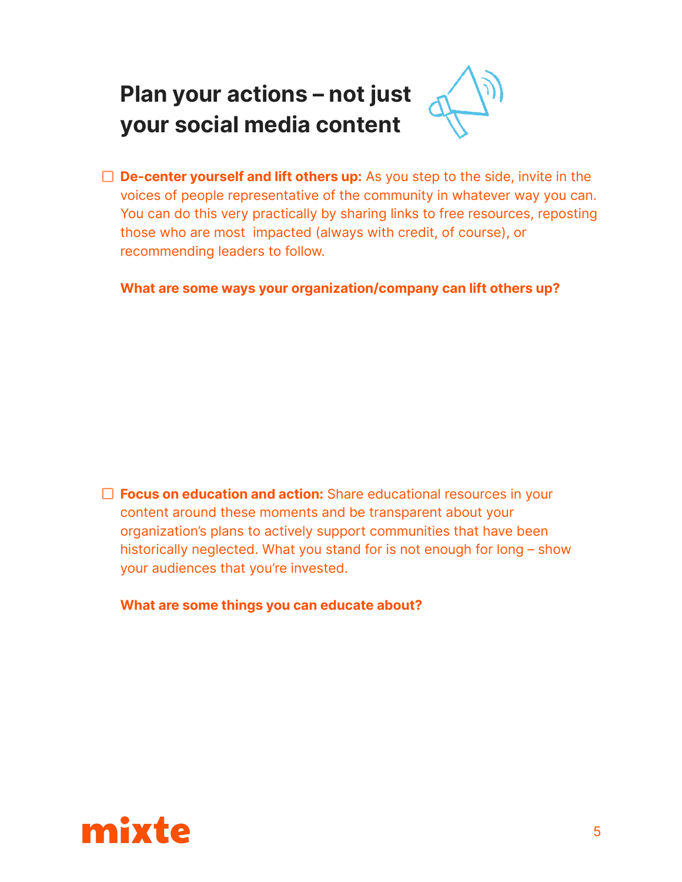## **Plan your actions – not just your social media content**



**What are some ways your organization/company can lift others up?**

**Focus on education and action:** Share educational resources in your content around these moments and be transparent about your organization's plans to actively support communities that have been historically neglected. What you stand for is not enough for long – show your audiences that you're invested.

**What are some things you can educate about?**

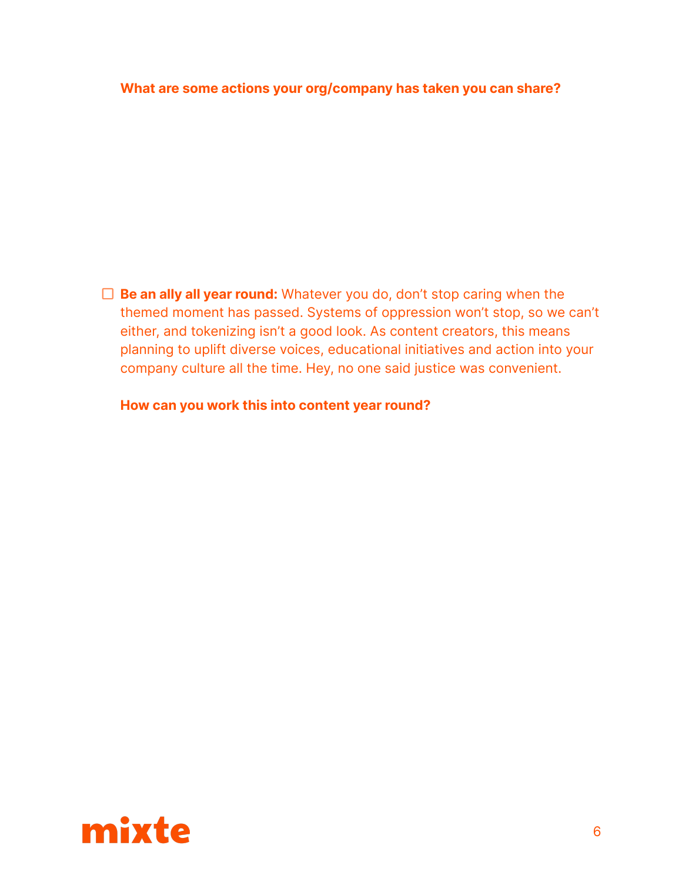### **What are some actions your org/company has taken you can share?**

**Be an ally all year round:** Whatever you do, don't stop caring when the themed moment has passed. Systems of oppression won't stop, so we can't either, and tokenizing isn't a good look. As content creators, this means planning to uplift diverse voices, educational initiatives and action into your company culture all the time. Hey, no one said justice was convenient.

**How can you work this into content year round?**